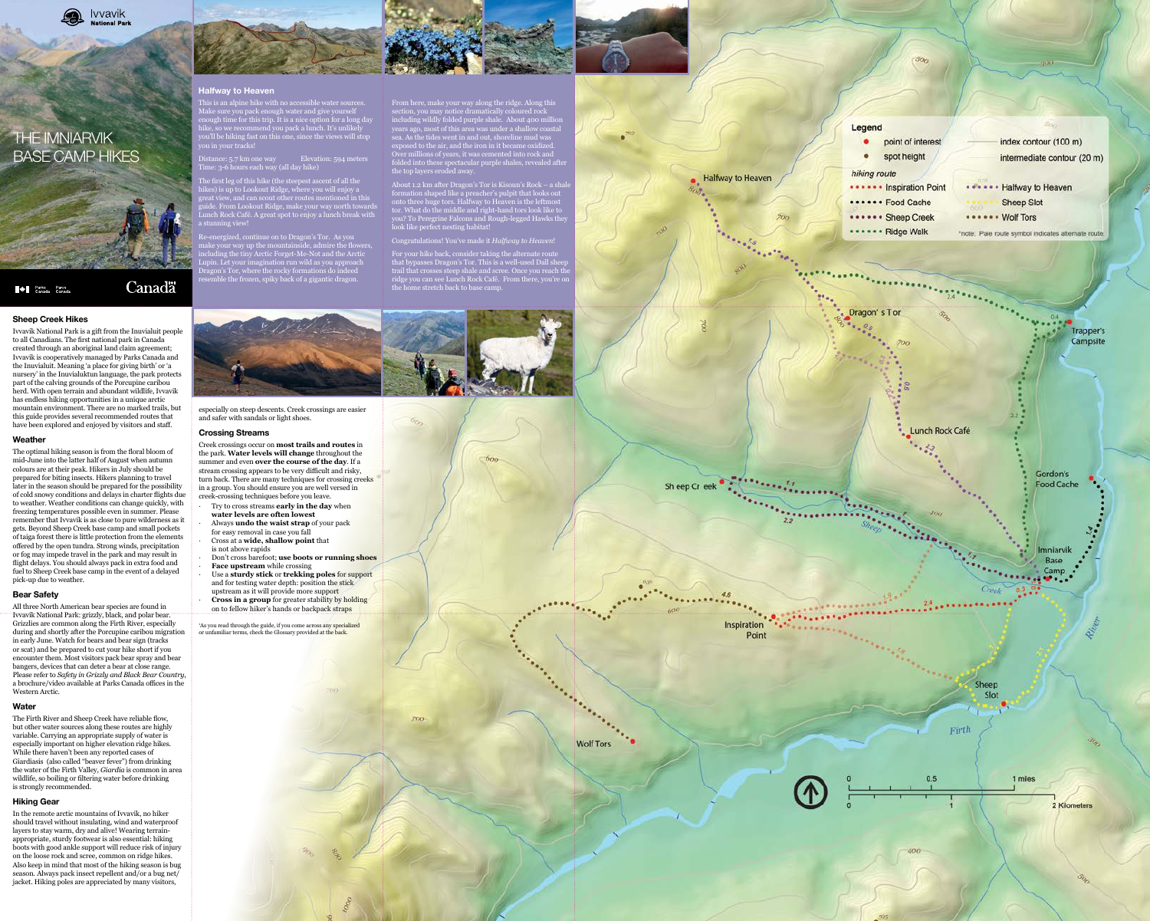# **Halfway to Heaven**

This is an alpine hike with no accessible water sources. Make sure you pack enough water and give yourself enough time for this trip. It is a nice option for a long day hike, so we recommend you pack a lunch. It's unlikely you'll be hiking fast on this one, since the views will stop you in your tracks!

Distance: 5.7 km one way Elevation: 594 meters Time: 3-6 hours each way (all day hike)

The first leg of this hike (the steepest ascent of all the hikes) is up to Lookout Ridge, where you will enjoy a great view, and can scout other routes mentioned in this guide. From Lookout Ridge, make your way north towards Lunch Rock Café. A great spot to enjoy a lunch break with stunning view!

nergized, continue on to Dragon's Tor. As you make your way up the mountainside, admire the flowers including the tiny Arctic Forget-Me-Not and the Arctic Lupin. Let your imagination run wild as you approach Dragon's Tor, where the rocky formations do indeed resemble the frozen, spiky back of a gigantic dragon.

About 1.2 km after Dragon's Tor is Kisoun's Rock - a sha formation shaped like a preacher's pulpit that looks out onto three huge tors. Halfway to Heaven is the leftmost tor. What do the middle and right-hand tors look like to you? To Peregrine Falcons and Rough-legged Hawks they look like perfect nesting habitat!

From here, make your way along the ridge. Along this section, you may notice dramatically coloured rock including wildly folded purple shale. About 400 million years ago, most of this area was under a shallow coastal sea. As the tides went in and out, shoreline mud was exposed to the air, and the iron in it became oxidized. Over millions of years, it was cemented into rock and folded into these spectacular purple shales, revealed after

the top layers eroded away.

Congratulations! You've made it *Halfway to Heaven*!

For your hike back, consider taking the alternate route asses Dragon's Tor. This is a well-used Dall shee trail that crosses steep shale and scree. Once you reach the ridge you can see Lunch Rock Café. From there, you're on the home stretch back to base camp.

 $600$ 



# **Sheep Creek Hikes**

Ivvavik National Park is a gift from the Inuvialuit people to all Canadians. The first national park in Canada created through an aboriginal land claim agreement; Ivvavik is cooperatively managed by Parks Canada and the Inuvialuit. Meaning 'a place for giving birth' or 'a nursery' in the Inuvialuktun language, the park protects part of the calving grounds of the Porcupine caribou herd. With open terrain and abundant wildlife, Ivvavik has endless hiking opportunities in a unique arctic mountain environment. There are no marked trails, but this guide provides several recommended routes that have been explored and enjoyed by visitors and staff.

# **Weather**

The optimal hiking season is from the floral bloom of mid-June into the latter half of August when autumn colours are at their peak. Hikers in July should be prepared for biting insects. Hikers planning to travel later in the season should be prepared for the possibility of cold snowy conditions and delays in charter flights due to weather. Weather conditions can change quickly, with freezing temperatures possible even in summer. Please remember that Ivvavik is as close to pure wilderness as it gets. Beyond Sheep Creek base camp and small pockets of taiga forest there is little protection from the elements offered by the open tundra. Strong winds, precipitation or fog may impede travel in the park and may result in flight delays. You should always pack in extra food and fuel to Sheep Creek base camp in the event of a delayed pick-up due to weather.

# **Bear Safety**

All three North American bear species are found in Ivvavik National Park: grizzly, black, and polar bear. Grizzlies are common along the Firth River, especially during and shortly after the Porcupine caribou migration in early June. Watch for bears and bear sign (tracks or scat) and be prepared to cut your hike short if you encounter them. Most visitors pack bear spray and bear bangers, devices that can deter a bear at close range. Please refer to *Safety in Grizzly and Black Bear Country*, a brochure/video available at Parks Canada offices in the Western Arctic.

#### **Water**

The Firth River and Sheep Creek have reliable flow, but other water sources along these routes are highly variable. Carrying an appropriate supply of water is especially important on higher elevation ridge hikes. While there haven't been any reported cases of Giardiasis (also called "beaver fever") from drinking the water of the Firth Valley, *Giardia* is common in area wildlife, so boiling or filtering water before drinking is strongly recommended.

#### **Hiking Gear**

In the remote arctic mountains of Ivvavik, no hiker should travel without insulating, wind and waterproof layers to stay warm, dry and alive! Wearing terrainappropriate, sturdy footwear is also essential: hiking boots with good ankle support will reduce risk of injury on the loose rock and scree, common on ridge hikes. Also keep in mind that most of the hiking season is bug season. Always pack insect repellent and/or a bug net/ jacket. Hiking poles are appreciated by many visitors,



especially on steep descents. Creek crossings are easier and safer with sandals or light shoes.

### **Crossing Streams**

Creek crossings occur on **most trails and routes** in the park. **Water levels will change** throughout the summer and even **over the course of the day**. If a stream crossing appears to be very difficult and risky, turn back. There are many techniques for crossing creeks in a group. You should ensure you are well versed in creek-crossing techniques before you leave.

- ∙ Try to cross streams **early in the day** when **water levels are often lowest**
- ∙ Always **undo the waist strap** of your pack for easy removal in case you fall
- ∙ Cross at a **wide, shallow point** that
- is not above rapids
- ∙ Don't cross barefoot; **use boots or running shoes** ∙ **Face upstream** while crossing
- ∙ Use a **sturdy stick** or **trekking poles** for support and for testing water depth: position the stick
- upstream as it will provide more support ∙ **Cross in a group** for greater stability by holding on to fellow hiker's hands or backpack straps

<sup>1</sup>As you read through the guide, if you come across any specialized

or unfamiliar terms, check the Glossary provided at the back.



**Wolf Tors** 





# THE IMNIARVIK BASE CAMP HIKES

**Allen Strates** Parcs<br>Canada Canada

# Canadä